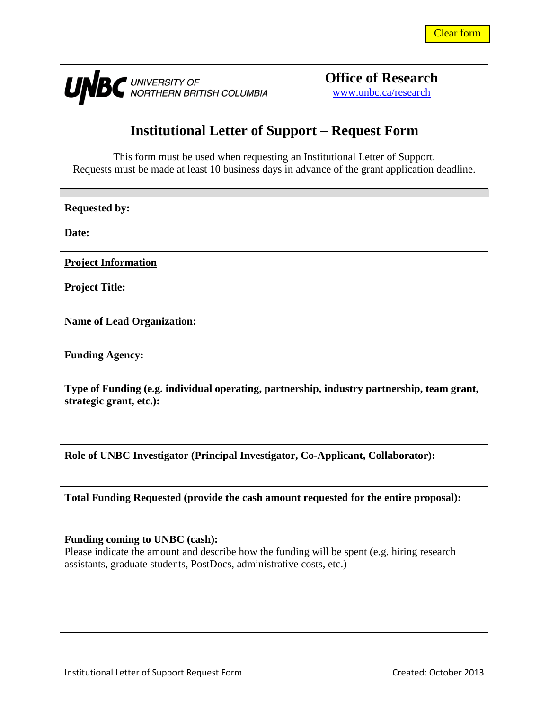

UNBC UNIVERSITY OF COLUMBIA

**Office of Research** [www.unbc.ca/research](http://www.unbc.ca/research)

# **Institutional Letter of Support – Request Form**

This form must be used when requesting an Institutional Letter of Support. Requests must be made at least 10 business days in advance of the grant application deadline.

**Requested by:**

**Date:**

**Project Information**

**Project Title:**

**Name of Lead Organization:**

**Funding Agency:**

**Type of Funding (e.g. individual operating, partnership, industry partnership, team grant, strategic grant, etc.):**

**Role of UNBC Investigator (Principal Investigator, Co-Applicant, Collaborator):**

**Total Funding Requested (provide the cash amount requested for the entire proposal):**

#### **Funding coming to UNBC (cash):**

Please indicate the amount and describe how the funding will be spent (e.g. hiring research assistants, graduate students, PostDocs, administrative costs, etc.)